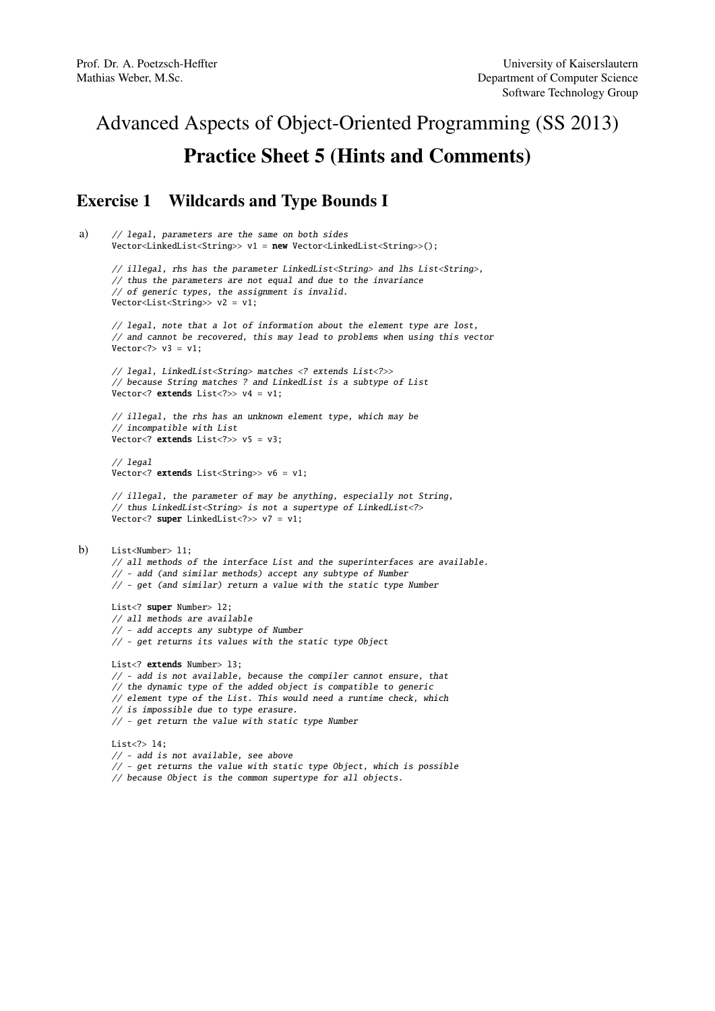# Advanced Aspects of Object-Oriented Programming (SS 2013) Practice Sheet 5 (Hints and Comments)

# Exercise 1 Wildcards and Type Bounds I

```
a) // legal, parameters are the same on both sides
      Vector<LinkedList<String>> v1 = new Vector<LinkedList<String>>();
      // illegal, rhs has the parameter LinkedList<String> and lhs List<String>,
      // thus the parameters are not equal and due to the invariance
      // of generic types, the assignment is invalid.
      Vector<List<String>> v2 = v1;
      // legal, note that a lot of information about the element type are lost,
      // and cannot be recovered, this may lead to problems when using this vector
      Vector < ? > v3 = v1:
      // legal, LinkedList<String> matches <? extends List<?>>
      // because String matches ? and LinkedList is a subtype of List
      Vector<? extends List<?>> v4 = v1;
      // illegal, the rhs has an unknown element type, which may be
      // incompatible with List
      \overline{V} vector<? extends List<?>> v5 = v3:
      // legal
      Vector<? extends List<String>> v6 = v1;
      // illegal, the parameter of may be anything, especially not String,
      // thus LinkedList<String> is not a supertype of LinkedList<?>
      Vector<? super LinkedList<?>> v7 = v1;
b) List<Number> l1;
      // all methods of the interface List and the superinterfaces are available.
      // - add (and similar methods) accept any subtype of Number
      // - get (and similar) return a value with the static type Number
      List<? super Number> 12;
      // all methods are available
      // - add accepts any subtype of Number
      // - get returns its values with the static type Object
      List<? extends Number> 13;
      // - add is not available, because the compiler cannot ensure, that
      // the dynamic type of the added object is compatible to generic
      // element type of the List. This would need a runtime check, which
      // is impossible due to type erasure.
      // - get return the value with static type Number
      List<?> l4;
      // - add is not available, see above
      // - get returns the value with static type Object, which is possible
      // because Object is the common supertype for all objects.
```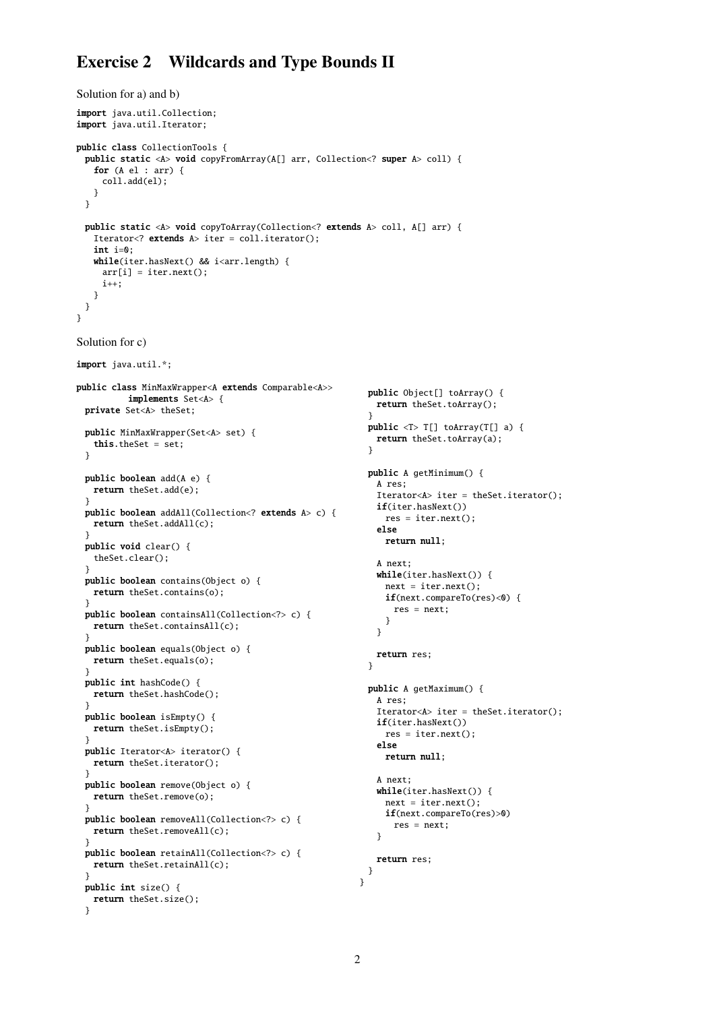# Exercise 2 Wildcards and Type Bounds II

```
Solution for a) and b)
import java.util.Collection;
import java.util.Iterator;
public class CollectionTools {
 public static <A> void copyFromArray(A[] arr, Collection<? super A> coll) {
   for (A el : arr) {
    coll.add(el);
   }
 }
 public static <A> void copyToArray(Collection<? extends A> coll, A[] arr) {
   Iterator<? extends A> iter = coll.iterator();
   int i=0;
   while(iter.hasNext() && i<arr.length) {
    arr[i] = iter.next();i++;
   }
 }
}
Solution for c)
import java.util.*;
public class MinMaxWrapper<A extends Comparable<A>>
          implements Set<A> {
 private Set<A> theSet;
 public MinMaxWrapper(Set<A> set) {
   this.theSet = set;
 }
 public boolean add(A e) {
  return theSet.add(e);
 }
 public boolean addAll(Collection<? extends A> c) {
  return theSet.addAll(c);
 }
 public void clear() {
   theSet.clear();
  }
 public boolean contains(Object o) {
   return theSet.contains(o);
 }
 public boolean containsAll(Collection<?> c) {
   return theSet.containsAll(c);
 }
 public boolean equals(Object o) {
  return theSet.equals(o);
 }
 public int hashCode() {
   return theSet.hashCode();
 }
 public boolean isEmpty() {
  return theSet.isEmpty();
 }
 public Iterator<A> iterator() {
  return theSet.iterator();
 }
 public boolean remove(Object o) {
  return theSet.remove(o);
 }
 public boolean removeAll(Collection<?> c) {
  return theSet.removeAll(c);
 }
 public boolean retainAll(Collection<?> c) {
  return theSet.retainAll(c);
 }
 public int size() {
   return theSet.size();
 }
                                                           public Object[] toArray() {
                                                            return theSet.toArray();
                                                           }
                                                           public <T> T[] toArray(T[] a) {
                                                            return theSet.toArray(a);
                                                           \mathfrak{r}public A getMinimum() {
                                                            A res;
                                                            Iterator<A> iter = theSet.iterator();
                                                            if(iter.hasNext())
                                                              res = iter.next();
                                                            else
                                                              return null;
                                                            A next;
                                                            while(iter.hasNext()) {
                                                             next = iter.next();
                                                             if(next.compareTo(res)<0) {
                                                                res = next;
                                                              }
                                                            }
                                                            return res;
                                                           }
                                                           public A getMaximum() {
                                                            A res;
                                                            Iterator<A> iter = theSet.iterator();
                                                            if(iter.hasNext())
                                                              res = iter.next();else
                                                              return null;
                                                            A next;
                                                            while(iter.hasNext()) {
                                                             next = iter.next();if(next.compareTo(res)>0)
                                                                res = next:
                                                            }
                                                            return res;
                                                           }
                                                         }
```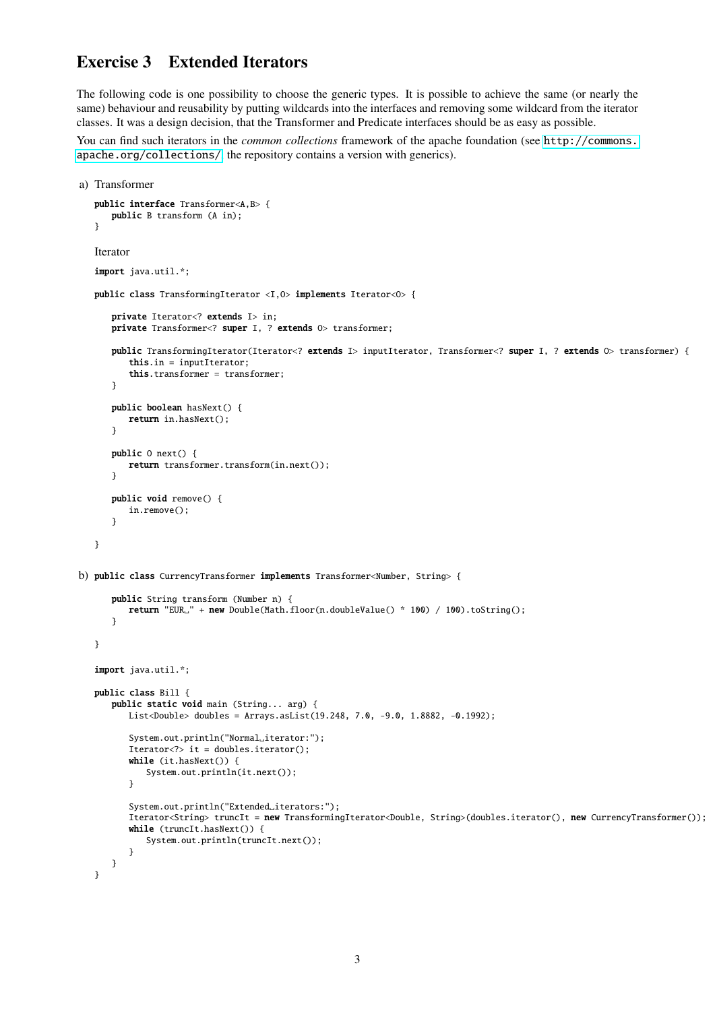### Exercise 3 Extended Iterators

The following code is one possibility to choose the generic types. It is possible to achieve the same (or nearly the same) behaviour and reusability by putting wildcards into the interfaces and removing some wildcard from the iterator classes. It was a design decision, that the Transformer and Predicate interfaces should be as easy as possible.

You can find such iterators in the *common collections* framework of the apache foundation (see [http://commons.](http://commons.apache.org/collections/) [apache.org/collections/](http://commons.apache.org/collections/), the repository contains a version with generics).

```
a) Transformer
   public interface Transformer<A,B> {
      public B transform (A in);
   }
   Iterator
   import java.util.*;
   public class TransformingIterator <I,O> implements Iterator<O> {
      private Iterator<? extends I> in;
      private Transformer<? super I, ? extends O> transformer;
      public TransformingIterator(Iterator<? extends I> inputIterator, Transformer<? super I, ? extends O> transformer) {
          this.in = inputIterator;
          this.transformer = transformer;
      }
      public boolean hasNext() {
          return in.hasNext();
      }
      public O next() {
          return transformer.transform(in.next());
      }
      public void remove() {
          in.remove();
       }
   }
b) public class CurrencyTransformer implements Transformer<Number, String> {
      public String transform (Number n) {
          return "EUR<sub>L</sub>" + new Double(Math.floor(n.doubleValue() * 100) / 100).toString();
      }
   }
   import java.util.*;
   public class Bill {
      public static void main (String... arg) {
         List<Double> doubles = Arrays.asList(19.248, 7.0, -9.0, 1.8882, -0.1992);
          System.out.println("Normal_iterator:");
          Iterator<?> it = doubles.iterator();
          while (it.hasNext()) {
             System.out.println(it.next());
          }
          System.out.println("Extended_iterators:");
          Iterator<String> truncIt = new TransformingIterator<Double, String>(doubles.iterator(), new CurrencyTransformer());
          while (truncIt.hasNext()) {
             System.out.println(truncIt.next());
          }
      }
   }
```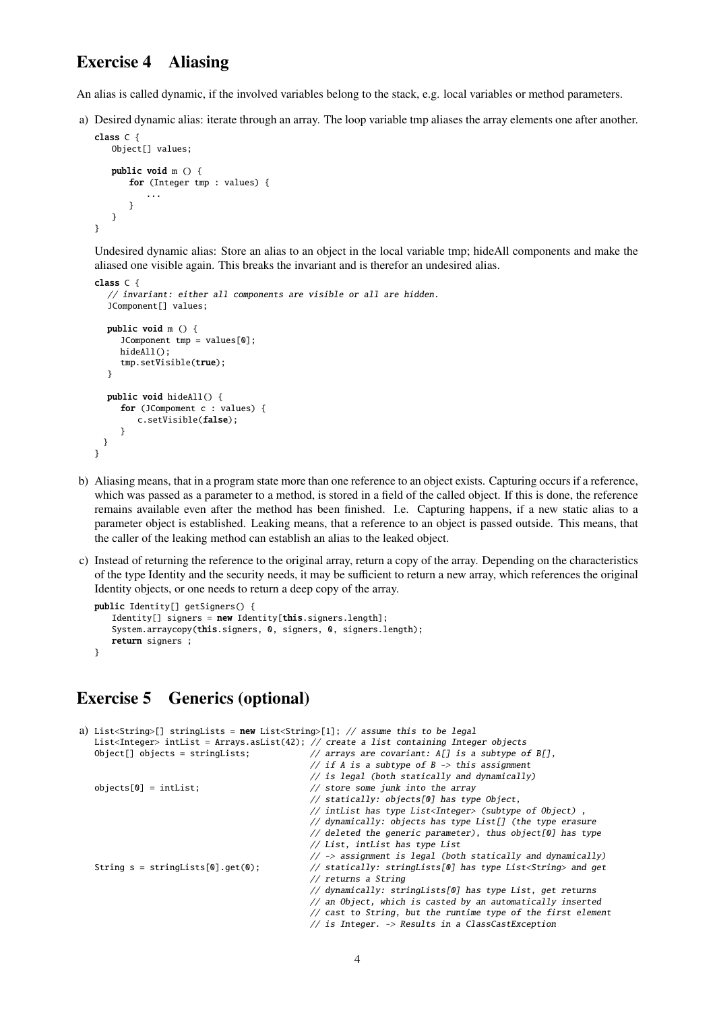#### Exercise 4 Aliasing

An alias is called dynamic, if the involved variables belong to the stack, e.g. local variables or method parameters.

a) Desired dynamic alias: iterate through an array. The loop variable tmp aliases the array elements one after another.

```
class C {
   Object[] values;
   public void m () {
      for (Integer tmp : values) {
           ...
       }
   }
}
```
Undesired dynamic alias: Store an alias to an object in the local variable tmp; hideAll components and make the aliased one visible again. This breaks the invariant and is therefor an undesired alias.

```
class C {
  // invariant: either all components are visible or all are hidden.
  JComponent[] values;
  public void m () {
     JComponent tmp = values[0];
     hideAll();
     tmp.setVisible(true);
  }
  public void hideAll() {
     for (JCompoment c : values) {
        c.setVisible(false);
     }
 }
}
```
- b) Aliasing means, that in a program state more than one reference to an object exists. Capturing occurs if a reference, which was passed as a parameter to a method, is stored in a field of the called object. If this is done, the reference remains available even after the method has been finished. I.e. Capturing happens, if a new static alias to a parameter object is established. Leaking means, that a reference to an object is passed outside. This means, that the caller of the leaking method can establish an alias to the leaked object.
- c) Instead of returning the reference to the original array, return a copy of the array. Depending on the characteristics of the type Identity and the security needs, it may be sufficient to return a new array, which references the original Identity objects, or one needs to return a deep copy of the array.

```
public Identity[] getSigners() {
   Identity[] signers = new Identity[this.signers.length];
   System.arraycopy(this.signers, 0, signers, 0, signers.length);
   return signers :
}
```
#### Exercise 5 Generics (optional)

```
a) List<String>[] stringLists = new List<String>[1]; // assume this to be legal
  List<Integer> intList = Arrays.asList(42); // create a list containing Integer objects
  Object[] objects = stringLists; // arrays are covariant: A[] is a subtype of B[],
                                            // if A is a subtype of B \rightarrow this assignment
                                            // is legal (both statically and dynamically)
  objects[0] = intList; // store some junk into the array
                                            // statically: objects[0] has type Object,
                                            // intList has type List<Integer> (subtype of Object) ,
                                            // dynamically: objects has type List[] (the type erasure
                                            // deleted the generic parameter), thus object[0] has type
                                            // List, intList has type List
                                            // -> assignment is legal (both statically and dynamically)
  String s = stringLists[0].get(0); // statically: stringLists[0] has type List<String> and get
                                            // returns a String
                                            // dynamically: stringLists[0] has type List, get returns
                                            // an Object, which is casted by an automatically inserted
                                            // cast to String, but the runtime type of the first element
```